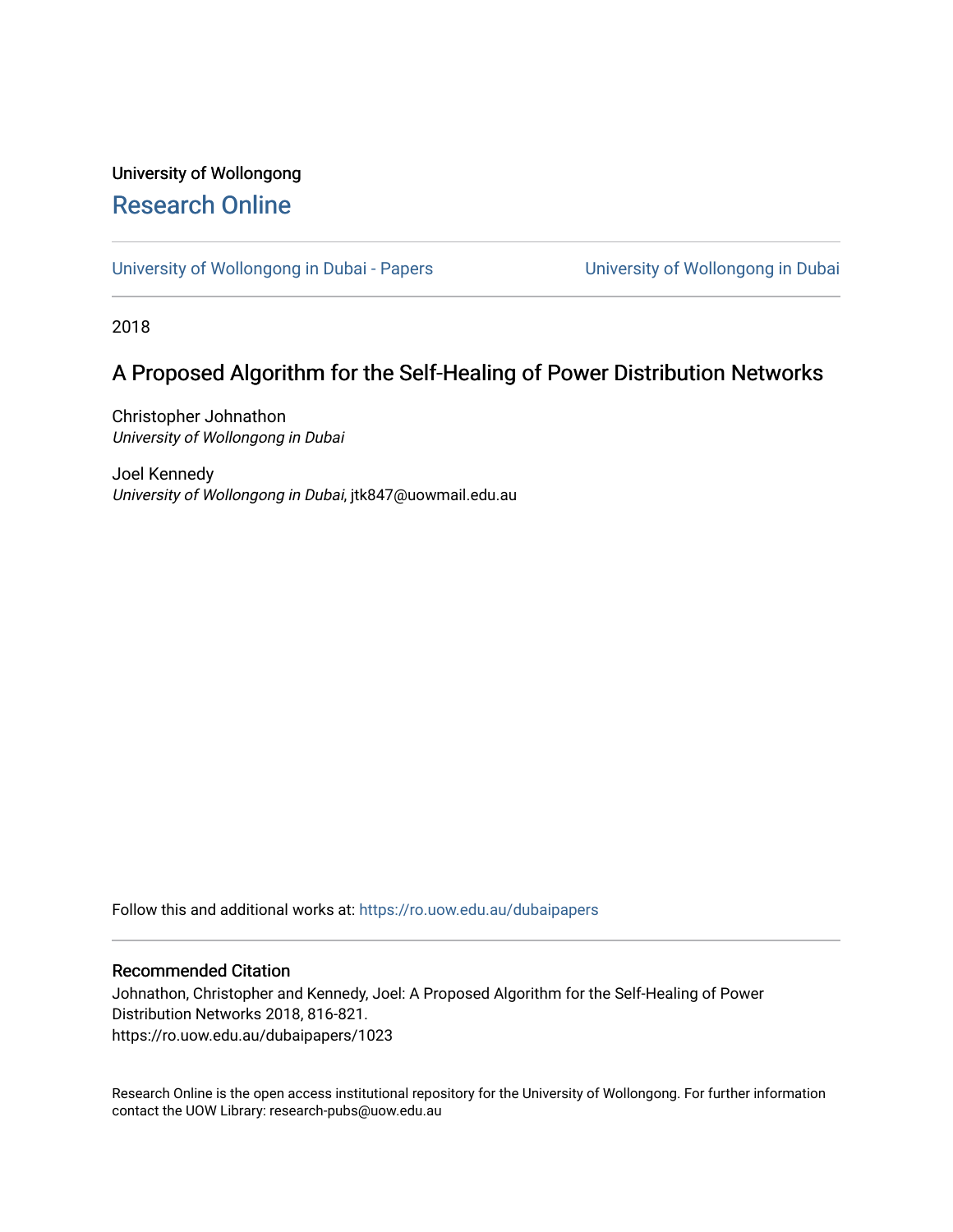# University of Wollongong [Research Online](https://ro.uow.edu.au/)

[University of Wollongong in Dubai - Papers](https://ro.uow.edu.au/dubaipapers) **University of Wollongong in Dubai** 

2018

## A Proposed Algorithm for the Self-Healing of Power Distribution Networks

Christopher Johnathon University of Wollongong in Dubai

Joel Kennedy University of Wollongong in Dubai, jtk847@uowmail.edu.au

Follow this and additional works at: [https://ro.uow.edu.au/dubaipapers](https://ro.uow.edu.au/dubaipapers?utm_source=ro.uow.edu.au%2Fdubaipapers%2F1023&utm_medium=PDF&utm_campaign=PDFCoverPages) 

## Recommended Citation

Johnathon, Christopher and Kennedy, Joel: A Proposed Algorithm for the Self-Healing of Power Distribution Networks 2018, 816-821. https://ro.uow.edu.au/dubaipapers/1023

Research Online is the open access institutional repository for the University of Wollongong. For further information contact the UOW Library: research-pubs@uow.edu.au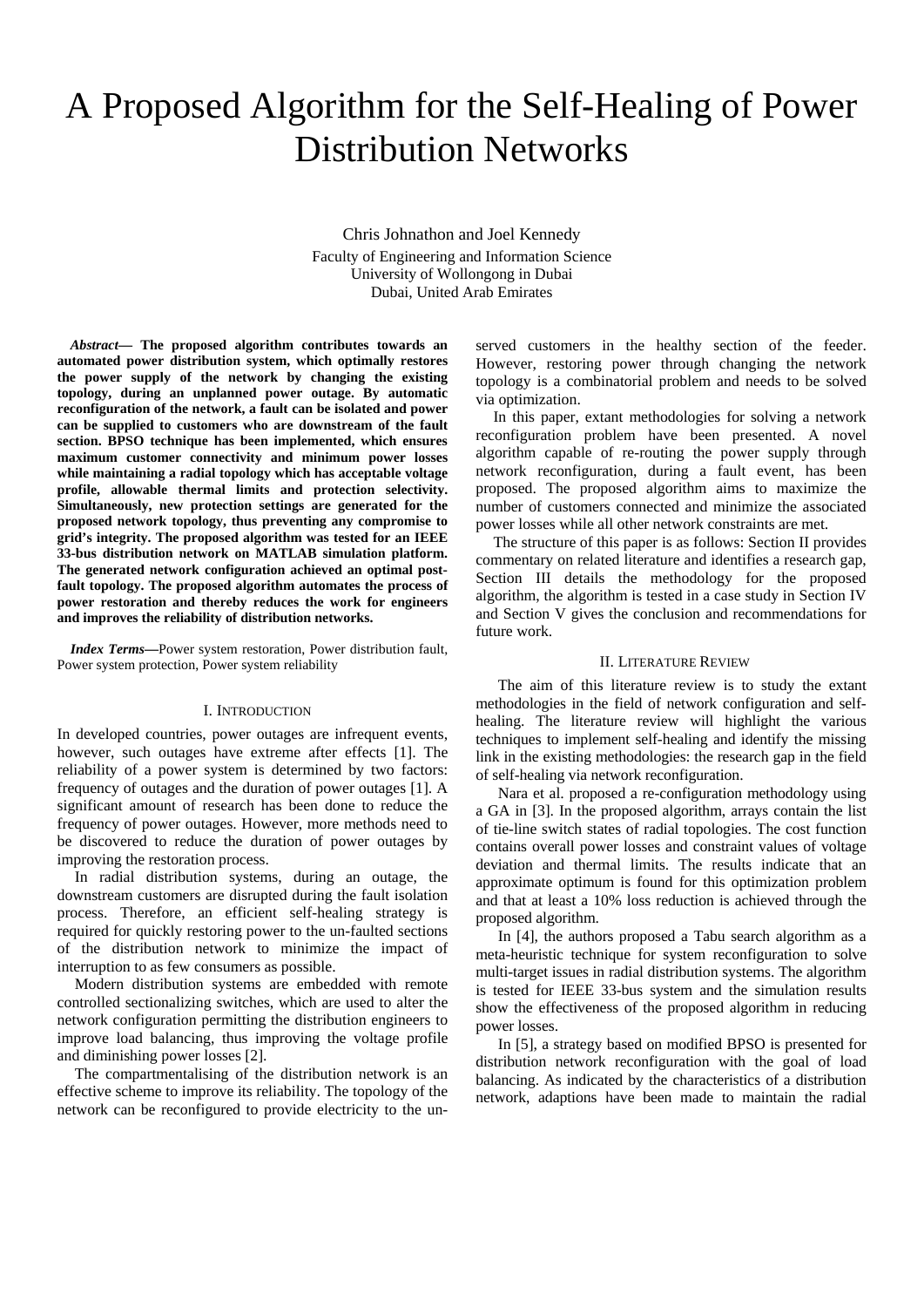# A Proposed Algorithm for the Self-Healing of Power Distribution Networks

Chris Johnathon and Joel Kennedy Faculty of Engineering and Information Science University of Wollongong in Dubai Dubai, United Arab Emirates

*Abstract***— The proposed algorithm contributes towards an automated power distribution system, which optimally restores the power supply of the network by changing the existing topology, during an unplanned power outage. By automatic reconfiguration of the network, a fault can be isolated and power can be supplied to customers who are downstream of the fault section. BPSO technique has been implemented, which ensures maximum customer connectivity and minimum power losses while maintaining a radial topology which has acceptable voltage profile, allowable thermal limits and protection selectivity. Simultaneously, new protection settings are generated for the proposed network topology, thus preventing any compromise to grid's integrity. The proposed algorithm was tested for an IEEE 33-bus distribution network on MATLAB simulation platform. The generated network configuration achieved an optimal postfault topology. The proposed algorithm automates the process of power restoration and thereby reduces the work for engineers and improves the reliability of distribution networks.** 

*Index Terms***—**Power system restoration, Power distribution fault, Power system protection, Power system reliability

#### I. INTRODUCTION

In developed countries, power outages are infrequent events, however, such outages have extreme after effects [1]. The reliability of a power system is determined by two factors: frequency of outages and the duration of power outages [1]. A significant amount of research has been done to reduce the frequency of power outages. However, more methods need to be discovered to reduce the duration of power outages by improving the restoration process.

In radial distribution systems, during an outage, the downstream customers are disrupted during the fault isolation process. Therefore, an efficient self-healing strategy is required for quickly restoring power to the un-faulted sections of the distribution network to minimize the impact of interruption to as few consumers as possible.

Modern distribution systems are embedded with remote controlled sectionalizing switches, which are used to alter the network configuration permitting the distribution engineers to improve load balancing, thus improving the voltage profile and diminishing power losses [2].

The compartmentalising of the distribution network is an effective scheme to improve its reliability. The topology of the network can be reconfigured to provide electricity to the un-

served customers in the healthy section of the feeder. However, restoring power through changing the network topology is a combinatorial problem and needs to be solved via optimization.

In this paper, extant methodologies for solving a network reconfiguration problem have been presented. A novel algorithm capable of re-routing the power supply through network reconfiguration, during a fault event, has been proposed. The proposed algorithm aims to maximize the number of customers connected and minimize the associated power losses while all other network constraints are met.

The structure of this paper is as follows: Section II provides commentary on related literature and identifies a research gap, Section III details the methodology for the proposed algorithm, the algorithm is tested in a case study in Section IV and Section V gives the conclusion and recommendations for future work.

#### II. LITERATURE REVIEW

The aim of this literature review is to study the extant methodologies in the field of network configuration and selfhealing. The literature review will highlight the various techniques to implement self-healing and identify the missing link in the existing methodologies: the research gap in the field of self-healing via network reconfiguration.

Nara et al. proposed a re-configuration methodology using a GA in [3]. In the proposed algorithm, arrays contain the list of tie-line switch states of radial topologies. The cost function contains overall power losses and constraint values of voltage deviation and thermal limits. The results indicate that an approximate optimum is found for this optimization problem and that at least a 10% loss reduction is achieved through the proposed algorithm.

In [4], the authors proposed a Tabu search algorithm as a meta-heuristic technique for system reconfiguration to solve multi-target issues in radial distribution systems. The algorithm is tested for IEEE 33-bus system and the simulation results show the effectiveness of the proposed algorithm in reducing power losses.

In [5], a strategy based on modified BPSO is presented for distribution network reconfiguration with the goal of load balancing. As indicated by the characteristics of a distribution network, adaptions have been made to maintain the radial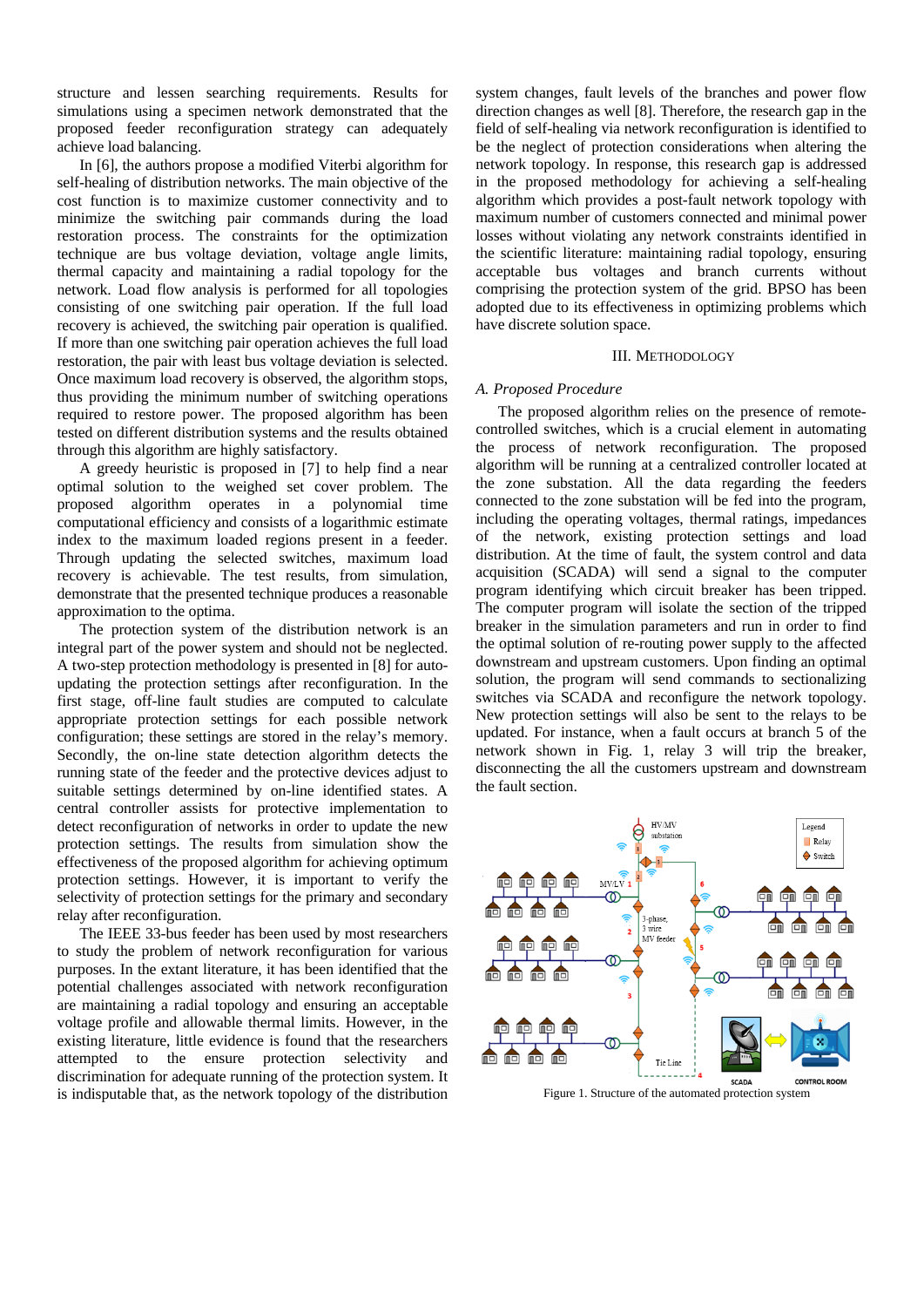structure and lessen searching requirements. Results for simulations using a specimen network demonstrated that the proposed feeder reconfiguration strategy can adequately achieve load balancing.

In [6], the authors propose a modified Viterbi algorithm for self-healing of distribution networks. The main objective of the cost function is to maximize customer connectivity and to minimize the switching pair commands during the load restoration process. The constraints for the optimization technique are bus voltage deviation, voltage angle limits, thermal capacity and maintaining a radial topology for the network. Load flow analysis is performed for all topologies consisting of one switching pair operation. If the full load recovery is achieved, the switching pair operation is qualified. If more than one switching pair operation achieves the full load restoration, the pair with least bus voltage deviation is selected. Once maximum load recovery is observed, the algorithm stops, thus providing the minimum number of switching operations required to restore power. The proposed algorithm has been tested on different distribution systems and the results obtained through this algorithm are highly satisfactory.

A greedy heuristic is proposed in [7] to help find a near optimal solution to the weighed set cover problem. The proposed algorithm operates in a polynomial time computational efficiency and consists of a logarithmic estimate index to the maximum loaded regions present in a feeder. Through updating the selected switches, maximum load recovery is achievable. The test results, from simulation, demonstrate that the presented technique produces a reasonable approximation to the optima.

The protection system of the distribution network is an integral part of the power system and should not be neglected. A two-step protection methodology is presented in [8] for autoupdating the protection settings after reconfiguration. In the first stage, off-line fault studies are computed to calculate appropriate protection settings for each possible network configuration; these settings are stored in the relay's memory. Secondly, the on-line state detection algorithm detects the running state of the feeder and the protective devices adjust to suitable settings determined by on-line identified states. A central controller assists for protective implementation to detect reconfiguration of networks in order to update the new protection settings. The results from simulation show the effectiveness of the proposed algorithm for achieving optimum protection settings. However, it is important to verify the selectivity of protection settings for the primary and secondary relay after reconfiguration.

The IEEE 33-bus feeder has been used by most researchers to study the problem of network reconfiguration for various purposes. In the extant literature, it has been identified that the potential challenges associated with network reconfiguration are maintaining a radial topology and ensuring an acceptable voltage profile and allowable thermal limits. However, in the existing literature, little evidence is found that the researchers attempted to the ensure protection selectivity and discrimination for adequate running of the protection system. It is indisputable that, as the network topology of the distribution

system changes, fault levels of the branches and power flow direction changes as well [8]. Therefore, the research gap in the field of self-healing via network reconfiguration is identified to be the neglect of protection considerations when altering the network topology. In response, this research gap is addressed in the proposed methodology for achieving a self-healing algorithm which provides a post-fault network topology with maximum number of customers connected and minimal power losses without violating any network constraints identified in the scientific literature: maintaining radial topology, ensuring acceptable bus voltages and branch currents without comprising the protection system of the grid. BPSO has been adopted due to its effectiveness in optimizing problems which have discrete solution space.

#### III. METHODOLOGY

#### *A. Proposed Procedure*

The proposed algorithm relies on the presence of remotecontrolled switches, which is a crucial element in automating the process of network reconfiguration. The proposed algorithm will be running at a centralized controller located at the zone substation. All the data regarding the feeders connected to the zone substation will be fed into the program, including the operating voltages, thermal ratings, impedances of the network, existing protection settings and load distribution. At the time of fault, the system control and data acquisition (SCADA) will send a signal to the computer program identifying which circuit breaker has been tripped. The computer program will isolate the section of the tripped breaker in the simulation parameters and run in order to find the optimal solution of re-routing power supply to the affected downstream and upstream customers. Upon finding an optimal solution, the program will send commands to sectionalizing switches via SCADA and reconfigure the network topology. New protection settings will also be sent to the relays to be updated. For instance, when a fault occurs at branch 5 of the network shown in Fig. 1, relay 3 will trip the breaker, disconnecting the all the customers upstream and downstream the fault section.



Figure 1. Structure of the automated protection system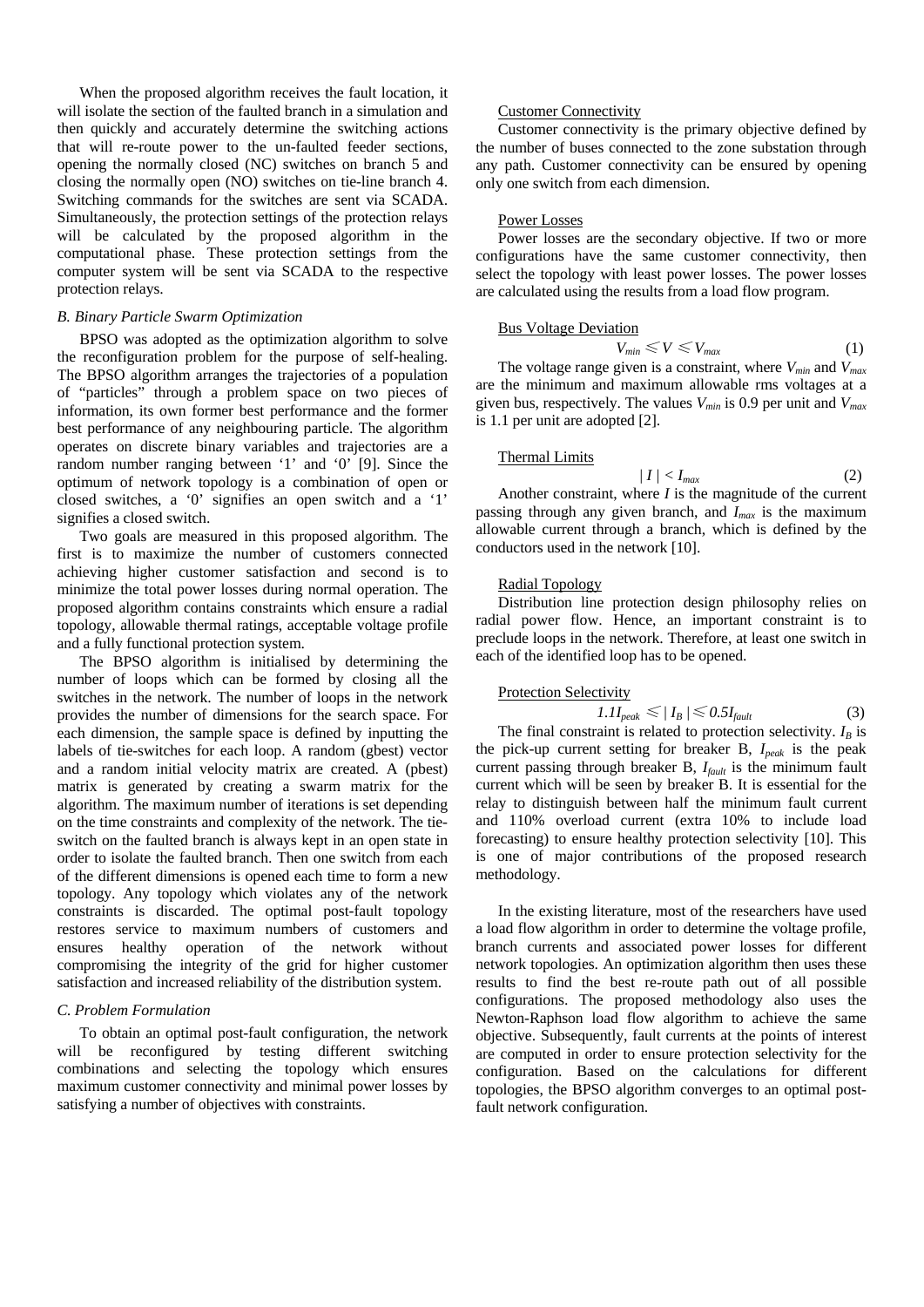When the proposed algorithm receives the fault location, it will isolate the section of the faulted branch in a simulation and then quickly and accurately determine the switching actions that will re-route power to the un-faulted feeder sections, opening the normally closed (NC) switches on branch 5 and closing the normally open (NO) switches on tie-line branch 4. Switching commands for the switches are sent via SCADA. Simultaneously, the protection settings of the protection relays will be calculated by the proposed algorithm in the computational phase. These protection settings from the computer system will be sent via SCADA to the respective protection relays.

#### *B. Binary Particle Swarm Optimization*

BPSO was adopted as the optimization algorithm to solve the reconfiguration problem for the purpose of self-healing. The BPSO algorithm arranges the trajectories of a population of "particles" through a problem space on two pieces of information, its own former best performance and the former best performance of any neighbouring particle. The algorithm operates on discrete binary variables and trajectories are a random number ranging between '1' and '0' [9]. Since the optimum of network topology is a combination of open or closed switches, a '0' signifies an open switch and a '1' signifies a closed switch.

Two goals are measured in this proposed algorithm. The first is to maximize the number of customers connected achieving higher customer satisfaction and second is to minimize the total power losses during normal operation. The proposed algorithm contains constraints which ensure a radial topology, allowable thermal ratings, acceptable voltage profile and a fully functional protection system.

The BPSO algorithm is initialised by determining the number of loops which can be formed by closing all the switches in the network. The number of loops in the network provides the number of dimensions for the search space. For each dimension, the sample space is defined by inputting the labels of tie-switches for each loop. A random (gbest) vector and a random initial velocity matrix are created. A (pbest) matrix is generated by creating a swarm matrix for the algorithm. The maximum number of iterations is set depending on the time constraints and complexity of the network. The tieswitch on the faulted branch is always kept in an open state in order to isolate the faulted branch. Then one switch from each of the different dimensions is opened each time to form a new topology. Any topology which violates any of the network constraints is discarded. The optimal post-fault topology restores service to maximum numbers of customers and ensures healthy operation of the network without compromising the integrity of the grid for higher customer satisfaction and increased reliability of the distribution system.

#### *C. Problem Formulation*

To obtain an optimal post-fault configuration, the network will be reconfigured by testing different switching combinations and selecting the topology which ensures maximum customer connectivity and minimal power losses by satisfying a number of objectives with constraints.

#### Customer Connectivity

Customer connectivity is the primary objective defined by the number of buses connected to the zone substation through any path. Customer connectivity can be ensured by opening only one switch from each dimension.

#### Power Losses

Power losses are the secondary objective. If two or more configurations have the same customer connectivity, then select the topology with least power losses. The power losses are calculated using the results from a load flow program.

## Bus Voltage Deviation  $V_{min} \leq V \leq V_{max}$  (1)

The voltage range given is a constraint, where  $V_{min}$  and  $V_{max}$ are the minimum and maximum allowable rms voltages at a given bus, respectively. The values *Vmin* is 0.9 per unit and *Vmax* is 1.1 per unit are adopted [2].

#### Thermal Limits

$$
|I| < I_{\text{max}} \tag{2}
$$

Another constraint, where *I* is the magnitude of the current passing through any given branch, and  $\overline{I}_{max}$  is the maximum allowable current through a branch, which is defined by the conductors used in the network [10].

#### Radial Topology

Distribution line protection design philosophy relies on radial power flow. Hence, an important constraint is to preclude loops in the network. Therefore, at least one switch in each of the identified loop has to be opened.

#### Protection Selectivity

$$
1.1I_{peak} \leq l_{B} / \leq 0.5I_{\text{fault}} \tag{3}
$$

The final constraint is related to protection selectivity.  $I_B$  is the pick-up current setting for breaker B, *Ipeak* is the peak current passing through breaker B, *Ifault* is the minimum fault current which will be seen by breaker B. It is essential for the relay to distinguish between half the minimum fault current and 110% overload current (extra 10% to include load forecasting) to ensure healthy protection selectivity [10]. This is one of major contributions of the proposed research methodology.

In the existing literature, most of the researchers have used a load flow algorithm in order to determine the voltage profile, branch currents and associated power losses for different network topologies. An optimization algorithm then uses these results to find the best re-route path out of all possible configurations. The proposed methodology also uses the Newton-Raphson load flow algorithm to achieve the same objective. Subsequently, fault currents at the points of interest are computed in order to ensure protection selectivity for the configuration. Based on the calculations for different topologies, the BPSO algorithm converges to an optimal postfault network configuration.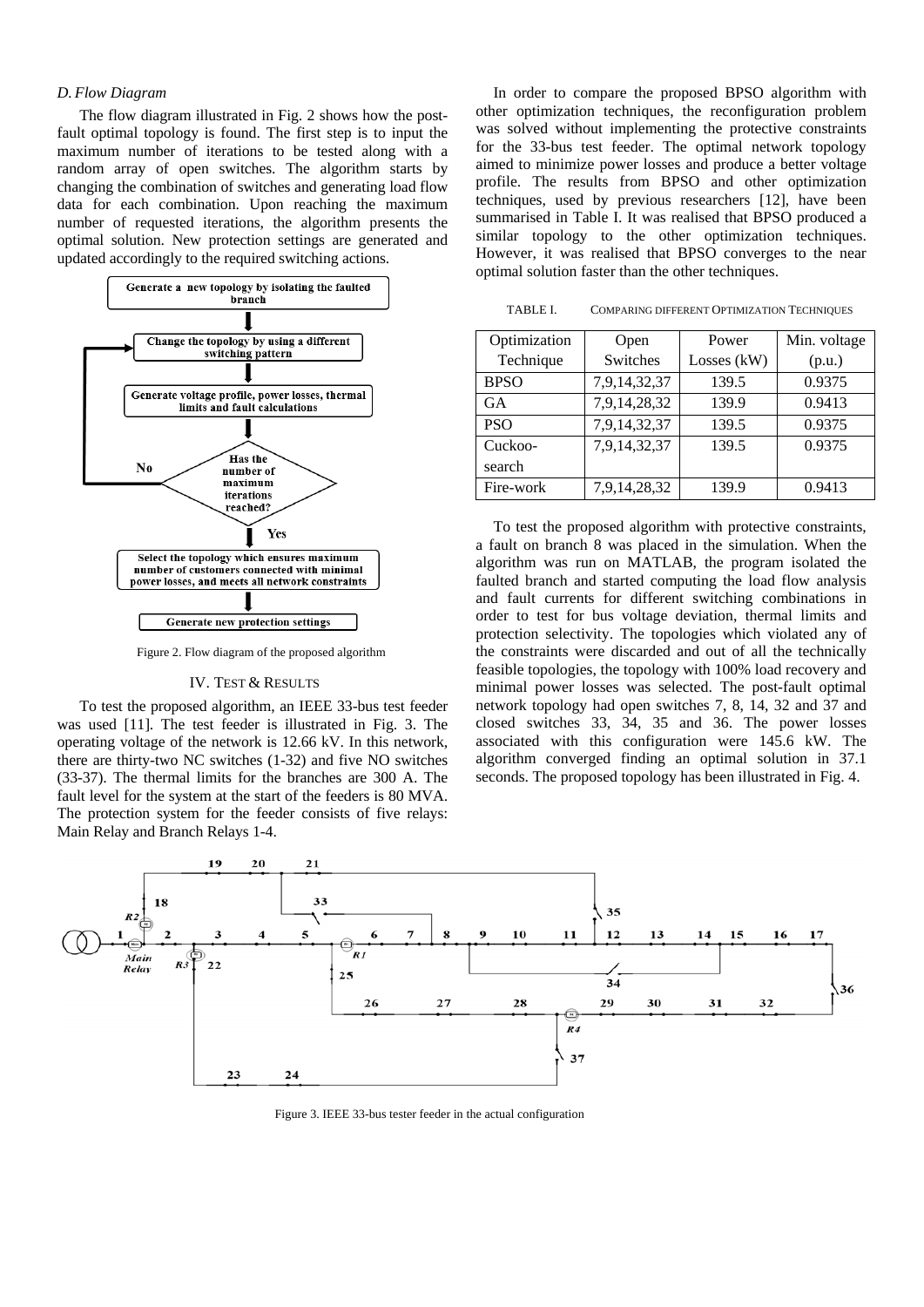#### *D. Flow Diagram*

The flow diagram illustrated in Fig. 2 shows how the postfault optimal topology is found. The first step is to input the maximum number of iterations to be tested along with a random array of open switches. The algorithm starts by changing the combination of switches and generating load flow data for each combination. Upon reaching the maximum number of requested iterations, the algorithm presents the optimal solution. New protection settings are generated and updated accordingly to the required switching actions.



Figure 2. Flow diagram of the proposed algorithm

#### IV. TEST & RESULTS

To test the proposed algorithm, an IEEE 33-bus test feeder was used [11]. The test feeder is illustrated in Fig. 3. The operating voltage of the network is 12.66 kV. In this network, there are thirty-two NC switches (1-32) and five NO switches (33-37). The thermal limits for the branches are 300 A. The fault level for the system at the start of the feeders is 80 MVA. The protection system for the feeder consists of five relays: Main Relay and Branch Relays 1-4.

In order to compare the proposed BPSO algorithm with other optimization techniques, the reconfiguration problem was solved without implementing the protective constraints for the 33-bus test feeder. The optimal network topology aimed to minimize power losses and produce a better voltage profile. The results from BPSO and other optimization techniques, used by previous researchers [12], have been summarised in Table I. It was realised that BPSO produced a similar topology to the other optimization techniques. However, it was realised that BPSO converges to the near optimal solution faster than the other techniques.

| Optimization | Open         | Power       | Min. voltage |
|--------------|--------------|-------------|--------------|
| Technique    | Switches     | Losses (kW) | (p.u.)       |
| <b>BPSO</b>  | 7,9,14,32,37 | 139.5       | 0.9375       |
| <b>GA</b>    | 7,9,14,28,32 | 139.9       | 0.9413       |
| <b>PSO</b>   | 7,9,14,32,37 | 139.5       | 0.9375       |
| Cuckoo-      | 7,9,14,32,37 | 139.5       | 0.9375       |
| search       |              |             |              |
| Fire-work    | 7,9,14,28,32 | 139.9       | 0.9413       |

TABLE I. COMPARING DIFFERENT OPTIMIZATION TECHNIQUES

To test the proposed algorithm with protective constraints, a fault on branch 8 was placed in the simulation. When the algorithm was run on MATLAB, the program isolated the faulted branch and started computing the load flow analysis and fault currents for different switching combinations in order to test for bus voltage deviation, thermal limits and protection selectivity. The topologies which violated any of the constraints were discarded and out of all the technically feasible topologies, the topology with 100% load recovery and minimal power losses was selected. The post-fault optimal network topology had open switches 7, 8, 14, 32 and 37 and closed switches 33, 34, 35 and 36. The power losses associated with this configuration were 145.6 kW. The algorithm converged finding an optimal solution in 37.1 seconds. The proposed topology has been illustrated in Fig. 4.



Figure 3. IEEE 33-bus tester feeder in the actual configuration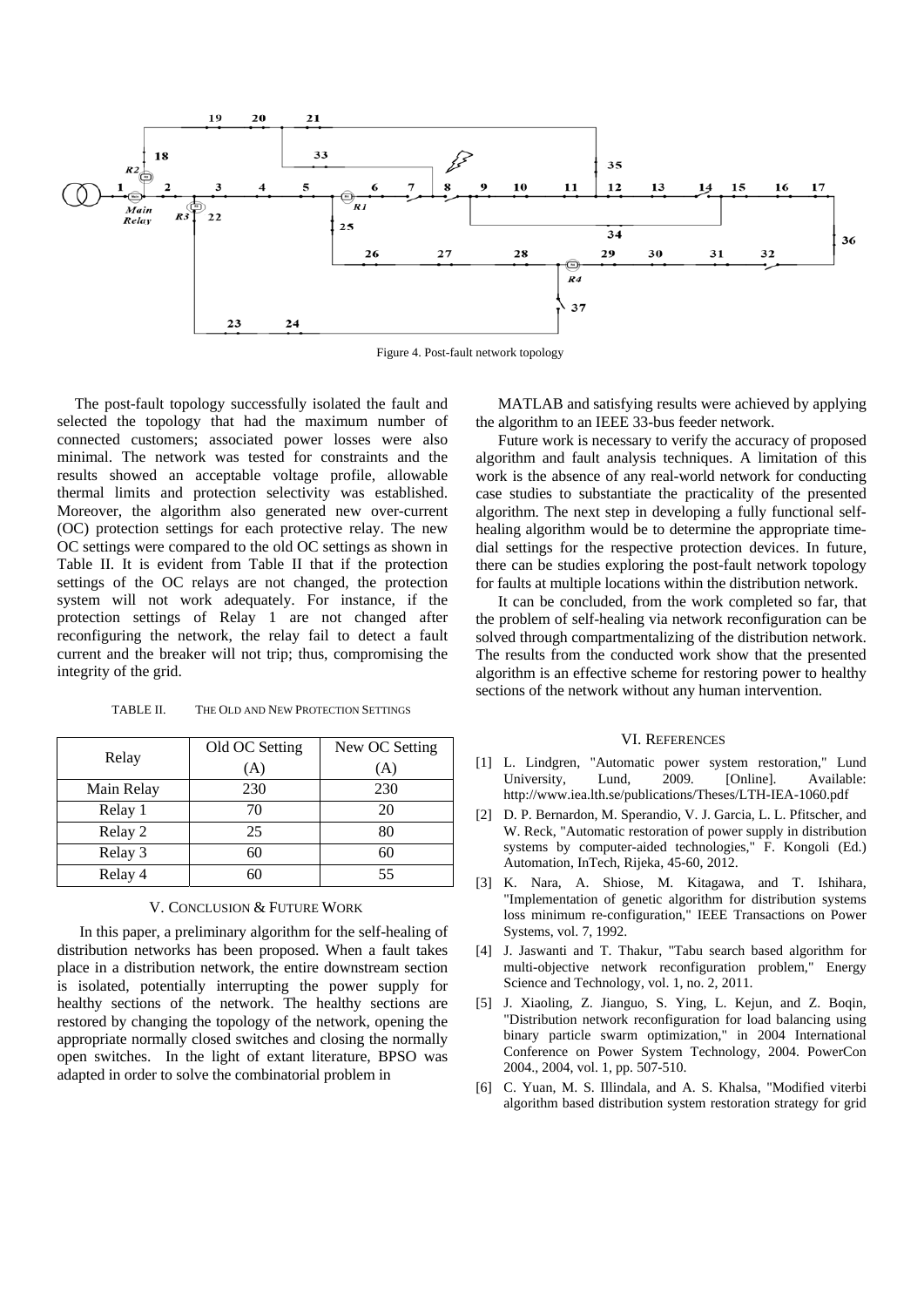

Figure 4. Post-fault network topology

The post-fault topology successfully isolated the fault and selected the topology that had the maximum number of connected customers; associated power losses were also minimal. The network was tested for constraints and the results showed an acceptable voltage profile, allowable thermal limits and protection selectivity was established. Moreover, the algorithm also generated new over-current (OC) protection settings for each protective relay. The new OC settings were compared to the old OC settings as shown in Table II. It is evident from Table II that if the protection settings of the OC relays are not changed, the protection system will not work adequately. For instance, if the protection settings of Relay 1 are not changed after reconfiguring the network, the relay fail to detect a fault current and the breaker will not trip; thus, compromising the integrity of the grid.

| Relay      | Old OC Setting | New OC Setting |
|------------|----------------|----------------|
|            | (A)            | (A)            |
| Main Relay | 230            | 230            |
| Relay 1    | 70             | 20             |
| Relay 2    | 25             | 80             |
| Relay 3    | 60             | 60             |
| Relay 4    | 60             | 55             |

#### V. CONCLUSION & FUTURE WORK

In this paper, a preliminary algorithm for the self-healing of distribution networks has been proposed. When a fault takes place in a distribution network, the entire downstream section is isolated, potentially interrupting the power supply for healthy sections of the network. The healthy sections are restored by changing the topology of the network, opening the appropriate normally closed switches and closing the normally open switches. In the light of extant literature, BPSO was adapted in order to solve the combinatorial problem in

MATLAB and satisfying results were achieved by applying the algorithm to an IEEE 33-bus feeder network.

Future work is necessary to verify the accuracy of proposed algorithm and fault analysis techniques. A limitation of this work is the absence of any real-world network for conducting case studies to substantiate the practicality of the presented algorithm. The next step in developing a fully functional selfhealing algorithm would be to determine the appropriate timedial settings for the respective protection devices. In future, there can be studies exploring the post-fault network topology for faults at multiple locations within the distribution network.

It can be concluded, from the work completed so far, that the problem of self-healing via network reconfiguration can be solved through compartmentalizing of the distribution network. The results from the conducted work show that the presented algorithm is an effective scheme for restoring power to healthy sections of the network without any human intervention.

#### VI. REFERENCES

- [1] L. Lindgren, "Automatic power system restoration," Lund University, Lund, 2009. [Online]. Available: http://www.iea.lth.se/publications/Theses/LTH-IEA-1060.pdf
- [2] D. P. Bernardon, M. Sperandio, V. J. Garcia, L. L. Pfitscher, and W. Reck, "Automatic restoration of power supply in distribution systems by computer-aided technologies," F. Kongoli (Ed.) Automation, InTech, Rijeka, 45-60, 2012.
- [3] K. Nara, A. Shiose, M. Kitagawa, and T. Ishihara, "Implementation of genetic algorithm for distribution systems loss minimum re-configuration," IEEE Transactions on Power Systems, vol. 7, 1992.
- [4] J. Jaswanti and T. Thakur, "Tabu search based algorithm for multi-objective network reconfiguration problem," Energy Science and Technology, vol. 1, no. 2, 2011.
- [5] J. Xiaoling, Z. Jianguo, S. Ying, L. Kejun, and Z. Boqin, "Distribution network reconfiguration for load balancing using binary particle swarm optimization," in 2004 International Conference on Power System Technology, 2004. PowerCon 2004., 2004, vol. 1, pp. 507-510.
- [6] C. Yuan, M. S. Illindala, and A. S. Khalsa, "Modified viterbi algorithm based distribution system restoration strategy for grid